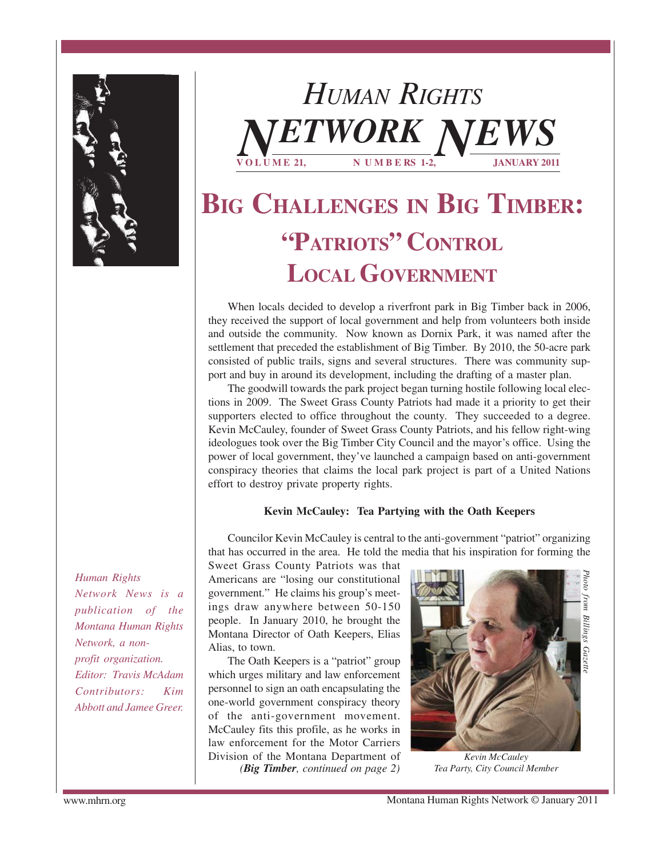

*HUMAN RIGHTS* **V O L U M E 21, N U M B E RS 1-2, JANUARY 2011**  $TWORK$ 

# **BIG CHALLENGES IN BIG TIMBER: "PATRIOTS" CONTROL LOCAL GOVERNMENT**

When locals decided to develop a riverfront park in Big Timber back in 2006, they received the support of local government and help from volunteers both inside and outside the community. Now known as Dornix Park, it was named after the settlement that preceded the establishment of Big Timber. By 2010, the 50-acre park consisted of public trails, signs and several structures. There was community support and buy in around its development, including the drafting of a master plan.

The goodwill towards the park project began turning hostile following local elections in 2009. The Sweet Grass County Patriots had made it a priority to get their supporters elected to office throughout the county. They succeeded to a degree. Kevin McCauley, founder of Sweet Grass County Patriots, and his fellow right-wing ideologues took over the Big Timber City Council and the mayor's office. Using the power of local government, they've launched a campaign based on anti-government conspiracy theories that claims the local park project is part of a United Nations effort to destroy private property rights.

#### **Kevin McCauley: Tea Partying with the Oath Keepers**

Councilor Kevin McCauley is central to the anti-government "patriot" organizing that has occurred in the area. He told the media that his inspiration for forming the

*Human Rights Network News is a publication of the Montana Human Rights Network, a nonprofit organization. Editor: Travis McAdam Contributors: Kim Abbott and Jamee Greer.*

Sweet Grass County Patriots was that Americans are "losing our constitutional government." He claims his group's meetings draw anywhere between 50-150 people. In January 2010, he brought the Montana Director of Oath Keepers, Elias Alias, to town.

The Oath Keepers is a "patriot" group which urges military and law enforcement personnel to sign an oath encapsulating the one-world government conspiracy theory of the anti-government movement. McCauley fits this profile, as he works in law enforcement for the Motor Carriers Division of the Montana Department of

*(Big Timber, continued on page 2)*



*Kevin McCauley Tea Party, City Council Member*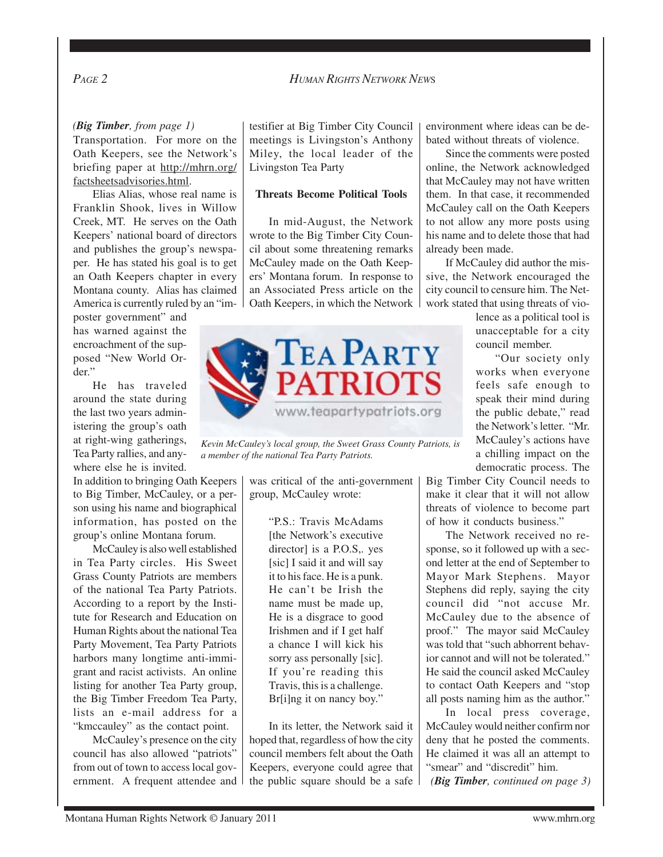*(Big Timber, from page 1)*

Transportation. For more on the Oath Keepers, see the Network's briefing paper at http://mhrn.org/ factsheetsadvisories.html.

Elias Alias, whose real name is Franklin Shook, lives in Willow Creek, MT. He serves on the Oath Keepers' national board of directors and publishes the group's newspaper. He has stated his goal is to get an Oath Keepers chapter in every Montana county. Alias has claimed America is currently ruled by an "im-

poster government" and has warned against the encroachment of the supposed "New World Order."

He has traveled around the state during the last two years administering the group's oath at right-wing gatherings, Tea Party rallies, and anywhere else he is invited.

In addition to bringing Oath Keepers to Big Timber, McCauley, or a person using his name and biographical information, has posted on the group's online Montana forum.

McCauley is also well established in Tea Party circles. His Sweet Grass County Patriots are members of the national Tea Party Patriots. According to a report by the Institute for Research and Education on Human Rights about the national Tea Party Movement, Tea Party Patriots harbors many longtime anti-immigrant and racist activists. An online listing for another Tea Party group, the Big Timber Freedom Tea Party, lists an e-mail address for a "kmccauley" as the contact point.

McCauley's presence on the city council has also allowed "patriots" from out of town to access local government. A frequent attendee and testifier at Big Timber City Council meetings is Livingston's Anthony Miley, the local leader of the Livingston Tea Party

#### **Threats Become Political Tools**

In mid-August, the Network wrote to the Big Timber City Council about some threatening remarks McCauley made on the Oath Keepers' Montana forum. In response to an Associated Press article on the Oath Keepers, in which the Network



*Kevin McCauley's local group, the Sweet Grass County Patriots, is a member of the national Tea Party Patriots.*

was critical of the anti-government group, McCauley wrote:

> "P.S.: Travis McAdams [the Network's executive director] is a P.O.S,. yes [sic] I said it and will say it to his face. He is a punk. He can't be Irish the name must be made up, He is a disgrace to good Irishmen and if I get half a chance I will kick his sorry ass personally [sic]. If you're reading this Travis, this is a challenge. Br[i]ng it on nancy boy."

In its letter, the Network said it hoped that, regardless of how the city council members felt about the Oath Keepers, everyone could agree that the public square should be a safe environment where ideas can be debated without threats of violence.

Since the comments were posted online, the Network acknowledged that McCauley may not have written them. In that case, it recommended McCauley call on the Oath Keepers to not allow any more posts using his name and to delete those that had already been made.

If McCauley did author the missive, the Network encouraged the city council to censure him. The Network stated that using threats of vio-

> lence as a political tool is unacceptable for a city council member.

> "Our society only works when everyone feels safe enough to speak their mind during the public debate," read the Network's letter. "Mr. McCauley's actions have a chilling impact on the democratic process. The

Big Timber City Council needs to make it clear that it will not allow threats of violence to become part of how it conducts business."

The Network received no response, so it followed up with a second letter at the end of September to Mayor Mark Stephens. Mayor Stephens did reply, saying the city council did "not accuse Mr. McCauley due to the absence of proof." The mayor said McCauley was told that "such abhorrent behavior cannot and will not be tolerated." He said the council asked McCauley to contact Oath Keepers and "stop all posts naming him as the author."

In local press coverage, McCauley would neither confirm nor deny that he posted the comments. He claimed it was all an attempt to "smear" and "discredit" him. *(Big Timber, continued on page 3)*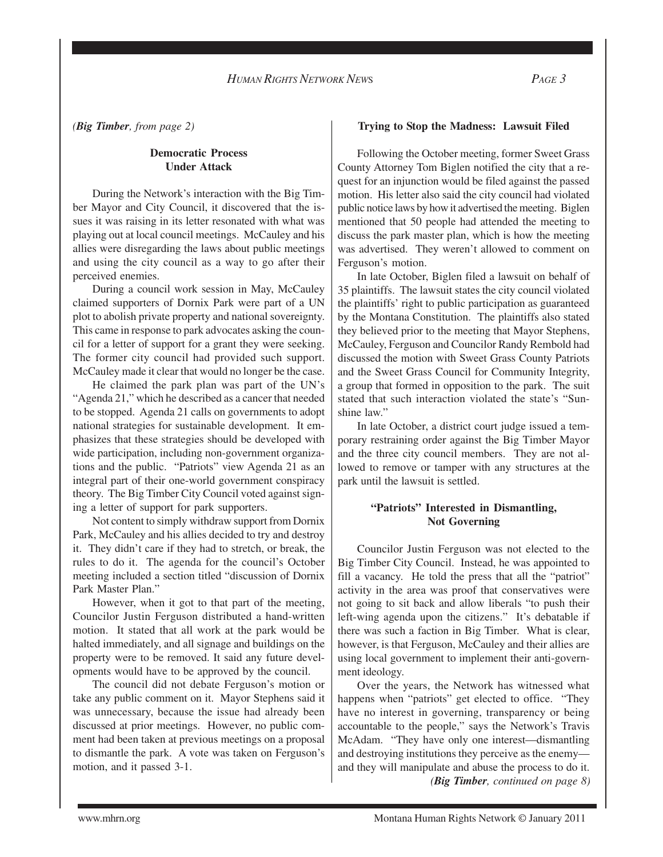*(Big Timber, from page 2)*

#### **Democratic Process Under Attack**

During the Network's interaction with the Big Timber Mayor and City Council, it discovered that the issues it was raising in its letter resonated with what was playing out at local council meetings. McCauley and his allies were disregarding the laws about public meetings and using the city council as a way to go after their perceived enemies.

During a council work session in May, McCauley claimed supporters of Dornix Park were part of a UN plot to abolish private property and national sovereignty. This came in response to park advocates asking the council for a letter of support for a grant they were seeking. The former city council had provided such support. McCauley made it clear that would no longer be the case.

He claimed the park plan was part of the UN's "Agenda 21," which he described as a cancer that needed to be stopped. Agenda 21 calls on governments to adopt national strategies for sustainable development. It emphasizes that these strategies should be developed with wide participation, including non-government organizations and the public. "Patriots" view Agenda 21 as an integral part of their one-world government conspiracy theory. The Big Timber City Council voted against signing a letter of support for park supporters.

Not content to simply withdraw support from Dornix Park, McCauley and his allies decided to try and destroy it. They didn't care if they had to stretch, or break, the rules to do it. The agenda for the council's October meeting included a section titled "discussion of Dornix Park Master Plan."

However, when it got to that part of the meeting, Councilor Justin Ferguson distributed a hand-written motion. It stated that all work at the park would be halted immediately, and all signage and buildings on the property were to be removed. It said any future developments would have to be approved by the council.

The council did not debate Ferguson's motion or take any public comment on it. Mayor Stephens said it was unnecessary, because the issue had already been discussed at prior meetings. However, no public comment had been taken at previous meetings on a proposal to dismantle the park. A vote was taken on Ferguson's motion, and it passed 3-1.

### **Trying to Stop the Madness: Lawsuit Filed**

Following the October meeting, former Sweet Grass County Attorney Tom Biglen notified the city that a request for an injunction would be filed against the passed motion. His letter also said the city council had violated public notice laws by how it advertised the meeting. Biglen mentioned that 50 people had attended the meeting to discuss the park master plan, which is how the meeting was advertised. They weren't allowed to comment on Ferguson's motion.

In late October, Biglen filed a lawsuit on behalf of 35 plaintiffs. The lawsuit states the city council violated the plaintiffs' right to public participation as guaranteed by the Montana Constitution. The plaintiffs also stated they believed prior to the meeting that Mayor Stephens, McCauley, Ferguson and Councilor Randy Rembold had discussed the motion with Sweet Grass County Patriots and the Sweet Grass Council for Community Integrity, a group that formed in opposition to the park. The suit stated that such interaction violated the state's "Sunshine law."

In late October, a district court judge issued a temporary restraining order against the Big Timber Mayor and the three city council members. They are not allowed to remove or tamper with any structures at the park until the lawsuit is settled.

#### **"Patriots" Interested in Dismantling, Not Governing**

Councilor Justin Ferguson was not elected to the Big Timber City Council. Instead, he was appointed to fill a vacancy. He told the press that all the "patriot" activity in the area was proof that conservatives were not going to sit back and allow liberals "to push their left-wing agenda upon the citizens." It's debatable if there was such a faction in Big Timber. What is clear, however, is that Ferguson, McCauley and their allies are using local government to implement their anti-government ideology.

Over the years, the Network has witnessed what happens when "patriots" get elected to office. "They have no interest in governing, transparency or being accountable to the people," says the Network's Travis McAdam. "They have only one interest—dismantling and destroying institutions they perceive as the enemy and they will manipulate and abuse the process to do it. *(Big Timber, continued on page 8)*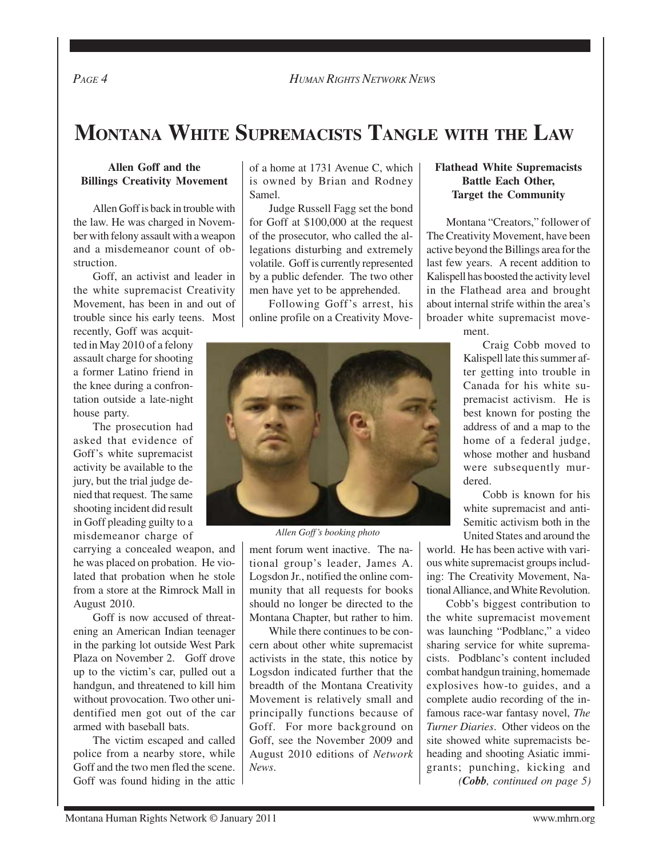# **MONTANA WHITE SUPREMACISTS TANGLE WITH THE LAW**

### **Allen Goff and the Billings Creativity Movement**

Allen Goff is back in trouble with the law. He was charged in November with felony assault with a weapon and a misdemeanor count of obstruction.

Goff, an activist and leader in the white supremacist Creativity Movement, has been in and out of trouble since his early teens. Most

recently, Goff was acquitted in May 2010 of a felony assault charge for shooting a former Latino friend in the knee during a confrontation outside a late-night house party.

The prosecution had asked that evidence of Goff's white supremacist activity be available to the jury, but the trial judge denied that request. The same shooting incident did result in Goff pleading guilty to a misdemeanor charge of

carrying a concealed weapon, and he was placed on probation. He violated that probation when he stole from a store at the Rimrock Mall in August 2010.

Goff is now accused of threatening an American Indian teenager in the parking lot outside West Park Plaza on November 2. Goff drove up to the victim's car, pulled out a handgun, and threatened to kill him without provocation. Two other unidentified men got out of the car armed with baseball bats.

The victim escaped and called police from a nearby store, while Goff and the two men fled the scene. Goff was found hiding in the attic of a home at 1731 Avenue C, which is owned by Brian and Rodney Samel.

Judge Russell Fagg set the bond for Goff at \$100,000 at the request of the prosecutor, who called the allegations disturbing and extremely volatile. Goff is currently represented by a public defender. The two other men have yet to be apprehended.

Following Goff's arrest, his online profile on a Creativity Move-



*Allen Goff's booking photo*

ment forum went inactive. The national group's leader, James A. Logsdon Jr., notified the online community that all requests for books should no longer be directed to the Montana Chapter, but rather to him.

While there continues to be concern about other white supremacist activists in the state, this notice by Logsdon indicated further that the breadth of the Montana Creativity Movement is relatively small and principally functions because of Goff. For more background on Goff, see the November 2009 and August 2010 editions of *Network News*.

#### **Flathead White Supremacists Battle Each Other, Target the Community**

Montana "Creators," follower of The Creativity Movement, have been active beyond the Billings area for the last few years. A recent addition to Kalispell has boosted the activity level in the Flathead area and brought about internal strife within the area's broader white supremacist move-

ment.

Craig Cobb moved to Kalispell late this summer after getting into trouble in Canada for his white supremacist activism. He is best known for posting the address of and a map to the home of a federal judge, whose mother and husband were subsequently murdered.

Cobb is known for his white supremacist and anti-Semitic activism both in the United States and around the

world. He has been active with various white supremacist groups including: The Creativity Movement, National Alliance, and White Revolution.

Cobb's biggest contribution to the white supremacist movement was launching "Podblanc," a video sharing service for white supremacists. Podblanc's content included combat handgun training, homemade explosives how-to guides, and a complete audio recording of the infamous race-war fantasy novel, *The Turner Diaries*. Other videos on the site showed white supremacists beheading and shooting Asiatic immigrants; punching, kicking and *(Cobb, continued on page 5)*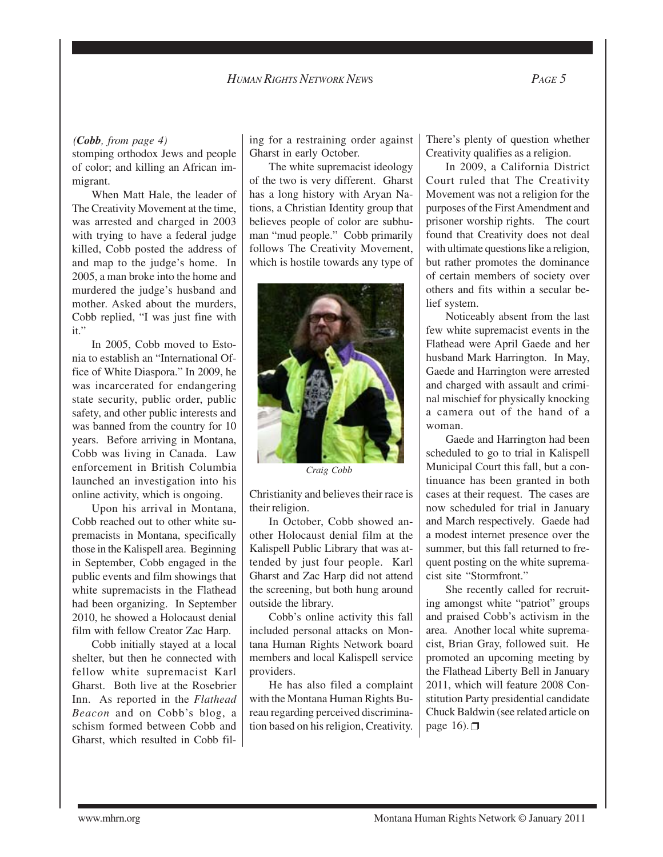stomping orthodox Jews and people of color; and killing an African immigrant.

When Matt Hale, the leader of The Creativity Movement at the time, was arrested and charged in 2003 with trying to have a federal judge killed, Cobb posted the address of and map to the judge's home. In 2005, a man broke into the home and murdered the judge's husband and mother. Asked about the murders, Cobb replied, "I was just fine with it."

In 2005, Cobb moved to Estonia to establish an "International Office of White Diaspora." In 2009, he was incarcerated for endangering state security, public order, public safety, and other public interests and was banned from the country for 10 years. Before arriving in Montana, Cobb was living in Canada. Law enforcement in British Columbia launched an investigation into his online activity, which is ongoing.

Upon his arrival in Montana, Cobb reached out to other white supremacists in Montana, specifically those in the Kalispell area. Beginning in September, Cobb engaged in the public events and film showings that white supremacists in the Flathead had been organizing. In September 2010, he showed a Holocaust denial film with fellow Creator Zac Harp.

Cobb initially stayed at a local shelter, but then he connected with fellow white supremacist Karl Gharst. Both live at the Rosebrier Inn. As reported in the *Flathead Beacon* and on Cobb's blog, a schism formed between Cobb and Gharst, which resulted in Cobb fil-

*(Cobb, from page 4)* ing for a restraining order against Gharst in early October.

> The white supremacist ideology of the two is very different. Gharst has a long history with Aryan Nations, a Christian Identity group that believes people of color are subhuman "mud people." Cobb primarily follows The Creativity Movement, which is hostile towards any type of



*Craig Cobb*

Christianity and believes their race is their religion.

In October, Cobb showed another Holocaust denial film at the Kalispell Public Library that was attended by just four people. Karl Gharst and Zac Harp did not attend the screening, but both hung around outside the library.

Cobb's online activity this fall included personal attacks on Montana Human Rights Network board members and local Kalispell service providers.

He has also filed a complaint with the Montana Human Rights Bureau regarding perceived discrimination based on his religion, Creativity. There's plenty of question whether Creativity qualifies as a religion.

In 2009, a California District Court ruled that The Creativity Movement was not a religion for the purposes of the First Amendment and prisoner worship rights. The court found that Creativity does not deal with ultimate questions like a religion, but rather promotes the dominance of certain members of society over others and fits within a secular belief system.

Noticeably absent from the last few white supremacist events in the Flathead were April Gaede and her husband Mark Harrington. In May, Gaede and Harrington were arrested and charged with assault and criminal mischief for physically knocking a camera out of the hand of a woman.

Gaede and Harrington had been scheduled to go to trial in Kalispell Municipal Court this fall, but a continuance has been granted in both cases at their request. The cases are now scheduled for trial in January and March respectively. Gaede had a modest internet presence over the summer, but this fall returned to frequent posting on the white supremacist site "Stormfront."

She recently called for recruiting amongst white "patriot" groups and praised Cobb's activism in the area. Another local white supremacist, Brian Gray, followed suit. He promoted an upcoming meeting by the Flathead Liberty Bell in January 2011, which will feature 2008 Constitution Party presidential candidate Chuck Baldwin (see related article on page  $16$ .

www.mhrn.org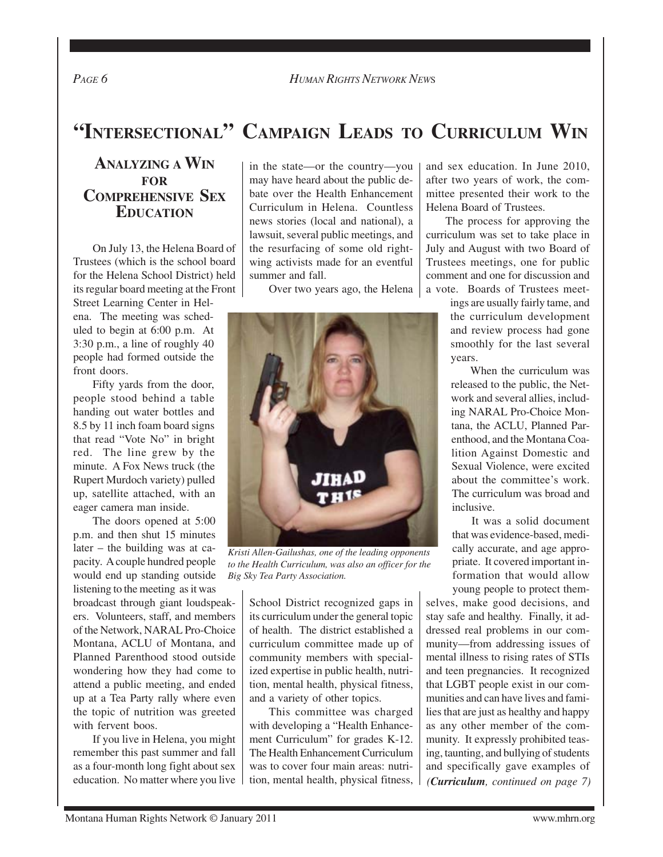If you live in Helena, you might remember this past summer and fall as a four-month long fight about sex

# **"INTERSECTIONAL" CAMPAIGN LEADS TO CURRICULUM WIN**

## **ANALYZING A WIN FOR COMPREHENSIVE SEX EDUCATION**

On July 13, the Helena Board of Trustees (which is the school board for the Helena School District) held its regular board meeting at the Front

Street Learning Center in Helena. The meeting was scheduled to begin at 6:00 p.m. At 3:30 p.m., a line of roughly 40 people had formed outside the front doors.

Fifty yards from the door, people stood behind a table handing out water bottles and 8.5 by 11 inch foam board signs that read "Vote No" in bright red. The line grew by the minute. A Fox News truck (the Rupert Murdoch variety) pulled up, satellite attached, with an eager camera man inside.

The doors opened at 5:00 p.m. and then shut 15 minutes later – the building was at capacity. A couple hundred people would end up standing outside listening to the meeting as it was

broadcast through giant loudspeakers. Volunteers, staff, and members of the Network, NARAL Pro-Choice Montana, ACLU of Montana, and Planned Parenthood stood outside wondering how they had come to attend a public meeting, and ended up at a Tea Party rally where even the topic of nutrition was greeted with fervent boos.

education. No matter where you live

in the state—or the country—you may have heard about the public debate over the Health Enhancement Curriculum in Helena. Countless news stories (local and national), a lawsuit, several public meetings, and the resurfacing of some old rightwing activists made for an eventful summer and fall.

Over two years ago, the Helena

*Kristi Allen-Gailushas, one of the leading opponents to the Health Curriculum, was also an officer for the Big Sky Tea Party Association.*

School District recognized gaps in its curriculum under the general topic of health. The district established a curriculum committee made up of community members with specialized expertise in public health, nutrition, mental health, physical fitness, and a variety of other topics.

This committee was charged with developing a "Health Enhancement Curriculum" for grades K-12. The Health Enhancement Curriculum was to cover four main areas: nutrition, mental health, physical fitness, and sex education. In June 2010, after two years of work, the committee presented their work to the Helena Board of Trustees.

The process for approving the curriculum was set to take place in July and August with two Board of Trustees meetings, one for public comment and one for discussion and a vote. Boards of Trustees meet-

> ings are usually fairly tame, and the curriculum development and review process had gone smoothly for the last several years.

> When the curriculum was released to the public, the Network and several allies, including NARAL Pro-Choice Montana, the ACLU, Planned Parenthood, and the Montana Coalition Against Domestic and Sexual Violence, were excited about the committee's work. The curriculum was broad and inclusive.

> It was a solid document that was evidence-based, medically accurate, and age appropriate. It covered important information that would allow young people to protect them-

selves, make good decisions, and stay safe and healthy. Finally, it addressed real problems in our community—from addressing issues of mental illness to rising rates of STIs and teen pregnancies. It recognized that LGBT people exist in our communities and can have lives and families that are just as healthy and happy as any other member of the community. It expressly prohibited teasing, taunting, and bullying of students and specifically gave examples of *(Curriculum, continued on page 7)*

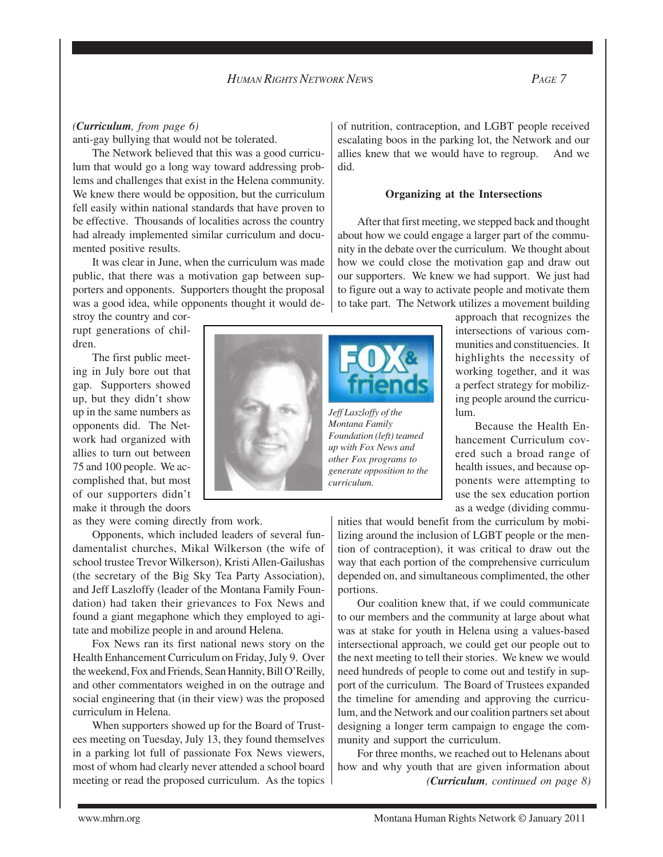### *(Curriculum, from page 6)*

anti-gay bullying that would not be tolerated.

The Network believed that this was a good curriculum that would go a long way toward addressing problems and challenges that exist in the Helena community. We knew there would be opposition, but the curriculum fell easily within national standards that have proven to be effective. Thousands of localities across the country had already implemented similar curriculum and documented positive results.

It was clear in June, when the curriculum was made public, that there was a motivation gap between supporters and opponents. Supporters thought the proposal was a good idea, while opponents thought it would de-

stroy the country and corrupt generations of children.

The first public meeting in July bore out that gap. Supporters showed up, but they didn't show up in the same numbers as opponents did. The Network had organized with allies to turn out between 75 and 100 people. We accomplished that, but most of our supporters didn't make it through the doors

as they were coming directly from work.

Opponents, which included leaders of several fundamentalist churches, Mikal Wilkerson (the wife of school trustee Trevor Wilkerson), Kristi Allen-Gailushas (the secretary of the Big Sky Tea Party Association), and Jeff Laszloffy (leader of the Montana Family Foundation) had taken their grievances to Fox News and found a giant megaphone which they employed to agitate and mobilize people in and around Helena.

Fox News ran its first national news story on the Health Enhancement Curriculum on Friday, July 9. Over the weekend, Fox and Friends, Sean Hannity, Bill O'Reilly, and other commentators weighed in on the outrage and social engineering that (in their view) was the proposed curriculum in Helena.

When supporters showed up for the Board of Trustees meeting on Tuesday, July 13, they found themselves in a parking lot full of passionate Fox News viewers, most of whom had clearly never attended a school board meeting or read the proposed curriculum. As the topics

of nutrition, contraception, and LGBT people received escalating boos in the parking lot, the Network and our allies knew that we would have to regroup. And we did.

#### **Organizing at the Intersections**

After that first meeting, we stepped back and thought about how we could engage a larger part of the community in the debate over the curriculum. We thought about how we could close the motivation gap and draw out our supporters. We knew we had support. We just had to figure out a way to activate people and motivate them to take part. The Network utilizes a movement building

*Jeff Laszloffy of the Montana Family Foundation (left) teamed up with Fox News and other Fox programs to generate opposition to the curriculum.*

approach that recognizes the intersections of various communities and constituencies. It highlights the necessity of working together, and it was a perfect strategy for mobilizing people around the curriculum.

Because the Health Enhancement Curriculum covered such a broad range of health issues, and because opponents were attempting to use the sex education portion as a wedge (dividing commu-

nities that would benefit from the curriculum by mobilizing around the inclusion of LGBT people or the mention of contraception), it was critical to draw out the way that each portion of the comprehensive curriculum depended on, and simultaneous complimented, the other portions.

Our coalition knew that, if we could communicate to our members and the community at large about what was at stake for youth in Helena using a values-based intersectional approach, we could get our people out to the next meeting to tell their stories. We knew we would need hundreds of people to come out and testify in support of the curriculum. The Board of Trustees expanded the timeline for amending and approving the curriculum, and the Network and our coalition partners set about designing a longer term campaign to engage the community and support the curriculum.

For three months, we reached out to Helenans about how and why youth that are given information about *(Curriculum, continued on page 8)*

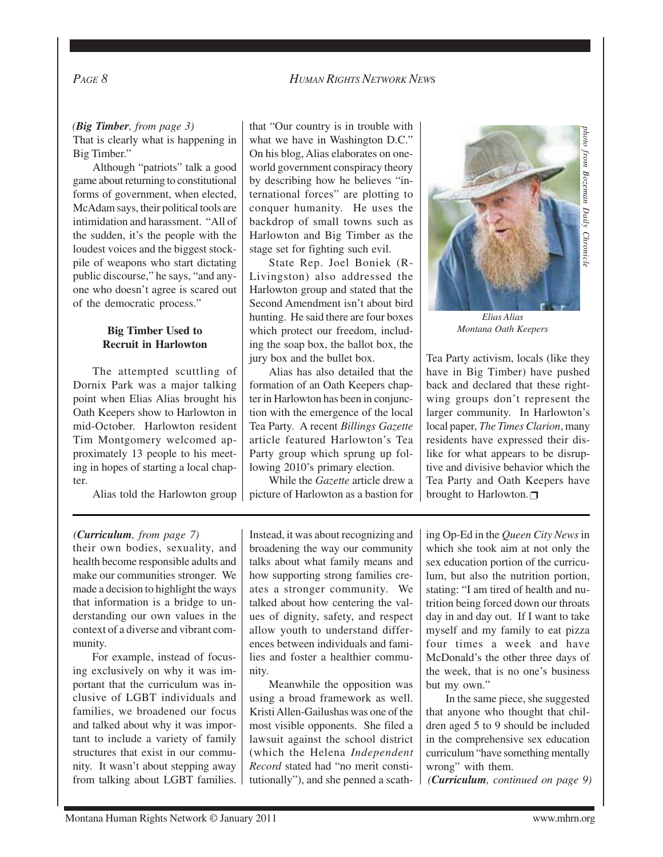*PAGE 8HUMAN RIGHTS NETWORK NEW*<sup>S</sup>

## That is clearly what is happening in Big Timber."

Although "patriots" talk a good game about returning to constitutional forms of government, when elected, McAdam says, their political tools are intimidation and harassment. "All of the sudden, it's the people with the loudest voices and the biggest stockpile of weapons who start dictating public discourse," he says, "and anyone who doesn't agree is scared out of the democratic process."

#### **Big Timber Used to Recruit in Harlowton**

The attempted scuttling of Dornix Park was a major talking point when Elias Alias brought his Oath Keepers show to Harlowton in mid-October. Harlowton resident Tim Montgomery welcomed approximately 13 people to his meeting in hopes of starting a local chapter.

Alias told the Harlowton group

*(Big Timber, from page 3)* that "Our country is in trouble with what we have in Washington D.C." On his blog, Alias elaborates on oneworld government conspiracy theory by describing how he believes "international forces" are plotting to conquer humanity. He uses the backdrop of small towns such as Harlowton and Big Timber as the stage set for fighting such evil.

> State Rep. Joel Boniek (R-Livingston) also addressed the Harlowton group and stated that the Second Amendment isn't about bird hunting. He said there are four boxes which protect our freedom, including the soap box, the ballot box, the jury box and the bullet box.

> Alias has also detailed that the formation of an Oath Keepers chapter in Harlowton has been in conjunction with the emergence of the local Tea Party. A recent *Billings Gazette* article featured Harlowton's Tea Party group which sprung up following 2010's primary election.

While the *Gazette* article drew a picture of Harlowton as a bastion for



*Elias Alias Montana Oath Keepers*

Tea Party activism, locals (like they have in Big Timber) have pushed back and declared that these rightwing groups don't represent the larger community. In Harlowton's local paper, *The Times Clarion*, many residents have expressed their dislike for what appears to be disruptive and divisive behavior which the Tea Party and Oath Keepers have brought to Harlowton. $\Box$ 

#### *(Curriculum, from page 7)*

their own bodies, sexuality, and health become responsible adults and make our communities stronger. We made a decision to highlight the ways that information is a bridge to understanding our own values in the context of a diverse and vibrant community.

For example, instead of focusing exclusively on why it was important that the curriculum was inclusive of LGBT individuals and families, we broadened our focus and talked about why it was important to include a variety of family structures that exist in our community. It wasn't about stepping away from talking about LGBT families.

Instead, it was about recognizing and broadening the way our community talks about what family means and how supporting strong families creates a stronger community. We talked about how centering the values of dignity, safety, and respect allow youth to understand differences between individuals and families and foster a healthier community.

Meanwhile the opposition was using a broad framework as well. Kristi Allen-Gailushas was one of the most visible opponents. She filed a lawsuit against the school district (which the Helena *Independent Record* stated had "no merit constitutionally"), and she penned a scathing Op-Ed in the *Queen City News* in which she took aim at not only the sex education portion of the curriculum, but also the nutrition portion, stating: "I am tired of health and nutrition being forced down our throats day in and day out. If I want to take myself and my family to eat pizza four times a week and have McDonald's the other three days of the week, that is no one's business but my own."

In the same piece, she suggested that anyone who thought that children aged 5 to 9 should be included in the comprehensive sex education curriculum "have something mentally wrong" with them.

*(Curriculum, continued on page 9)*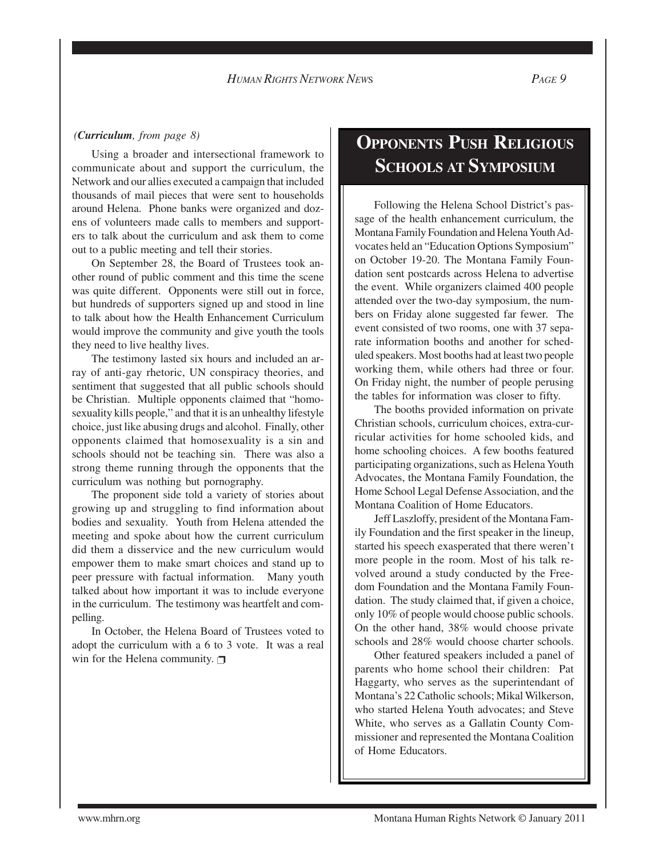#### *(Curriculum, from page 8)*

Using a broader and intersectional framework to communicate about and support the curriculum, the Network and our allies executed a campaign that included thousands of mail pieces that were sent to households around Helena. Phone banks were organized and dozens of volunteers made calls to members and supporters to talk about the curriculum and ask them to come out to a public meeting and tell their stories.

On September 28, the Board of Trustees took another round of public comment and this time the scene was quite different. Opponents were still out in force, but hundreds of supporters signed up and stood in line to talk about how the Health Enhancement Curriculum would improve the community and give youth the tools they need to live healthy lives.

The testimony lasted six hours and included an array of anti-gay rhetoric, UN conspiracy theories, and sentiment that suggested that all public schools should be Christian. Multiple opponents claimed that "homosexuality kills people," and that it is an unhealthy lifestyle choice, just like abusing drugs and alcohol. Finally, other opponents claimed that homosexuality is a sin and schools should not be teaching sin. There was also a strong theme running through the opponents that the curriculum was nothing but pornography.

The proponent side told a variety of stories about growing up and struggling to find information about bodies and sexuality. Youth from Helena attended the meeting and spoke about how the current curriculum did them a disservice and the new curriculum would empower them to make smart choices and stand up to peer pressure with factual information. Many youth talked about how important it was to include everyone in the curriculum. The testimony was heartfelt and compelling.

In October, the Helena Board of Trustees voted to adopt the curriculum with a 6 to 3 vote. It was a real win for the Helena community. □

## **OPPONENTS PUSH RELIGIOUS SCHOOLS AT SYMPOSIUM**

Following the Helena School District's passage of the health enhancement curriculum, the Montana Family Foundation and Helena Youth Advocates held an "Education Options Symposium" on October 19-20. The Montana Family Foundation sent postcards across Helena to advertise the event. While organizers claimed 400 people attended over the two-day symposium, the numbers on Friday alone suggested far fewer. The event consisted of two rooms, one with 37 separate information booths and another for scheduled speakers. Most booths had at least two people working them, while others had three or four. On Friday night, the number of people perusing the tables for information was closer to fifty.

The booths provided information on private Christian schools, curriculum choices, extra-curricular activities for home schooled kids, and home schooling choices. A few booths featured participating organizations, such as Helena Youth Advocates, the Montana Family Foundation, the Home School Legal Defense Association, and the Montana Coalition of Home Educators.

Jeff Laszloffy, president of the Montana Family Foundation and the first speaker in the lineup, started his speech exasperated that there weren't more people in the room. Most of his talk revolved around a study conducted by the Freedom Foundation and the Montana Family Foundation. The study claimed that, if given a choice, only 10% of people would choose public schools. On the other hand, 38% would choose private schools and 28% would choose charter schools.

Other featured speakers included a panel of parents who home school their children: Pat Haggarty, who serves as the superintendant of Montana's 22 Catholic schools; Mikal Wilkerson, who started Helena Youth advocates; and Steve White, who serves as a Gallatin County Commissioner and represented the Montana Coalition of Home Educators.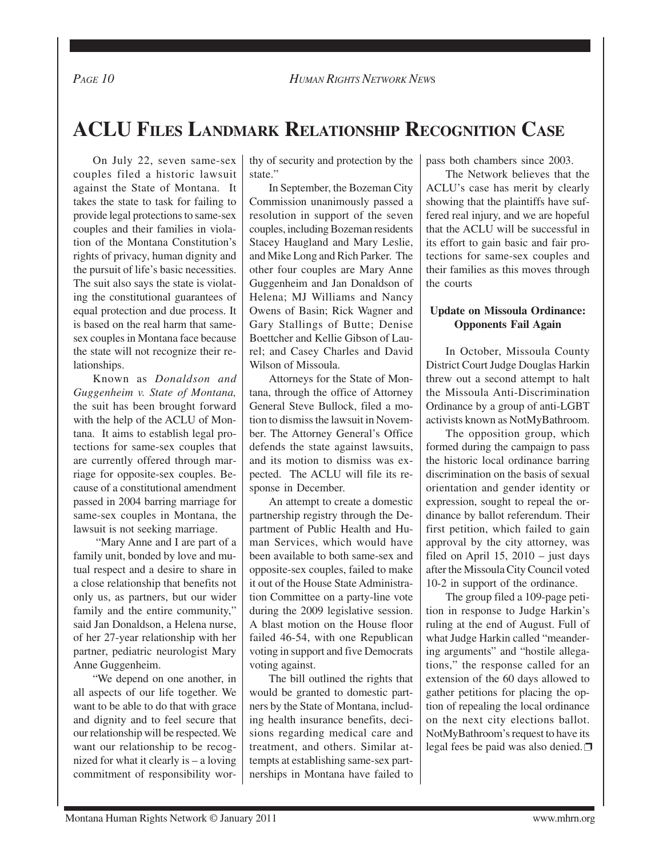# **ACLU FILES LANDMARK RELATIONSHIP RECOGNITION CASE**

On July 22, seven same-sex couples filed a historic lawsuit against the State of Montana. It takes the state to task for failing to provide legal protections to same-sex couples and their families in violation of the Montana Constitution's rights of privacy, human dignity and the pursuit of life's basic necessities. The suit also says the state is violating the constitutional guarantees of equal protection and due process. It is based on the real harm that samesex couples in Montana face because the state will not recognize their relationships.

Known as *Donaldson and Guggenheim v. State of Montana,* the suit has been brought forward with the help of the ACLU of Montana. It aims to establish legal protections for same-sex couples that are currently offered through marriage for opposite-sex couples. Because of a constitutional amendment passed in 2004 barring marriage for same-sex couples in Montana, the lawsuit is not seeking marriage.

 "Mary Anne and I are part of a family unit, bonded by love and mutual respect and a desire to share in a close relationship that benefits not only us, as partners, but our wider family and the entire community," said Jan Donaldson, a Helena nurse, of her 27-year relationship with her partner, pediatric neurologist Mary Anne Guggenheim.

"We depend on one another, in all aspects of our life together. We want to be able to do that with grace and dignity and to feel secure that our relationship will be respected. We want our relationship to be recognized for what it clearly is – a loving commitment of responsibility worthy of security and protection by the state."

In September, the Bozeman City Commission unanimously passed a resolution in support of the seven couples, including Bozeman residents Stacey Haugland and Mary Leslie, and Mike Long and Rich Parker. The other four couples are Mary Anne Guggenheim and Jan Donaldson of Helena; MJ Williams and Nancy Owens of Basin; Rick Wagner and Gary Stallings of Butte; Denise Boettcher and Kellie Gibson of Laurel; and Casey Charles and David Wilson of Missoula.

Attorneys for the State of Montana, through the office of Attorney General Steve Bullock, filed a motion to dismiss the lawsuit in November. The Attorney General's Office defends the state against lawsuits, and its motion to dismiss was expected. The ACLU will file its response in December.

An attempt to create a domestic partnership registry through the Department of Public Health and Human Services, which would have been available to both same-sex and opposite-sex couples, failed to make it out of the House State Administration Committee on a party-line vote during the 2009 legislative session. A blast motion on the House floor failed 46-54, with one Republican voting in support and five Democrats voting against.

The bill outlined the rights that would be granted to domestic partners by the State of Montana, including health insurance benefits, decisions regarding medical care and treatment, and others. Similar attempts at establishing same-sex partnerships in Montana have failed to pass both chambers since 2003.

The Network believes that the ACLU's case has merit by clearly showing that the plaintiffs have suffered real injury, and we are hopeful that the ACLU will be successful in its effort to gain basic and fair protections for same-sex couples and their families as this moves through the courts

#### **Update on Missoula Ordinance: Opponents Fail Again**

In October, Missoula County District Court Judge Douglas Harkin threw out a second attempt to halt the Missoula Anti-Discrimination Ordinance by a group of anti-LGBT activists known as NotMyBathroom.

The opposition group, which formed during the campaign to pass the historic local ordinance barring discrimination on the basis of sexual orientation and gender identity or expression, sought to repeal the ordinance by ballot referendum. Their first petition, which failed to gain approval by the city attorney, was filed on April 15,  $2010 -$  just days after the Missoula City Council voted 10-2 in support of the ordinance.

The group filed a 109-page petition in response to Judge Harkin's ruling at the end of August. Full of what Judge Harkin called "meandering arguments" and "hostile allegations," the response called for an extension of the 60 days allowed to gather petitions for placing the option of repealing the local ordinance on the next city elections ballot. NotMyBathroom's request to have its legal fees be paid was also denied.**□**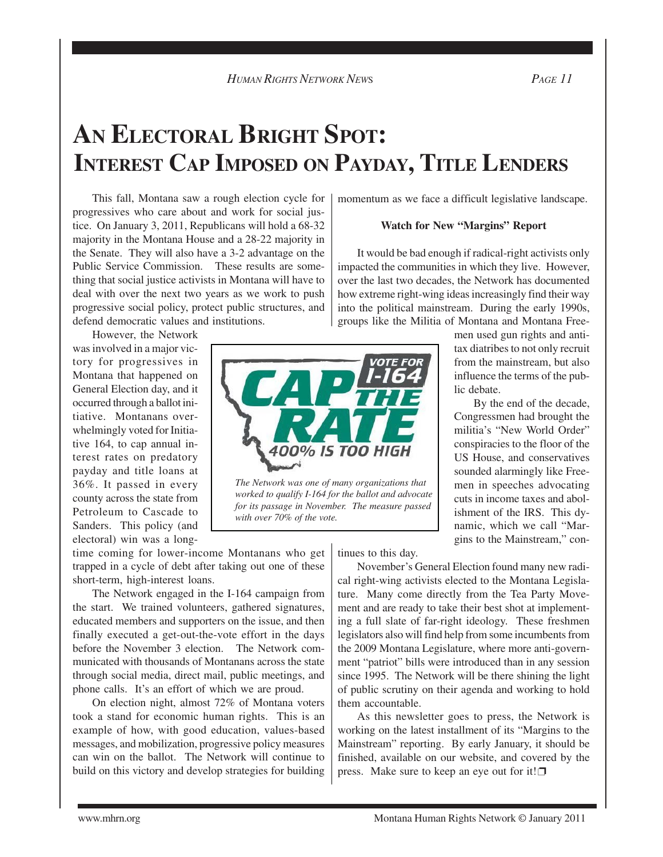# **AN ELECTORAL BRIGHT SPOT: INTEREST CAP IMPOSED ON PAYDAY, TITLE LENDERS**

This fall, Montana saw a rough election cycle for progressives who care about and work for social justice. On January 3, 2011, Republicans will hold a 68-32 majority in the Montana House and a 28-22 majority in the Senate. They will also have a 3-2 advantage on the Public Service Commission. These results are something that social justice activists in Montana will have to deal with over the next two years as we work to push progressive social policy, protect public structures, and defend democratic values and institutions.

However, the Network was involved in a major victory for progressives in Montana that happened on General Election day, and it occurred through a ballot initiative. Montanans overwhelmingly voted for Initiative 164, to cap annual interest rates on predatory payday and title loans at 36%. It passed in every county across the state from Petroleum to Cascade to Sanders. This policy (and electoral) win was a long-

time coming for lower-income Montanans who get trapped in a cycle of debt after taking out one of these short-term, high-interest loans.

The Network engaged in the I-164 campaign from the start. We trained volunteers, gathered signatures, educated members and supporters on the issue, and then finally executed a get-out-the-vote effort in the days before the November 3 election. The Network communicated with thousands of Montanans across the state through social media, direct mail, public meetings, and phone calls. It's an effort of which we are proud.

On election night, almost 72% of Montana voters took a stand for economic human rights. This is an example of how, with good education, values-based messages, and mobilization, progressive policy measures can win on the ballot. The Network will continue to build on this victory and develop strategies for building

momentum as we face a difficult legislative landscape.

#### **Watch for New "Margins" Report**

It would be bad enough if radical-right activists only impacted the communities in which they live. However, over the last two decades, the Network has documented how extreme right-wing ideas increasingly find their way into the political mainstream. During the early 1990s, groups like the Militia of Montana and Montana Free-

men used gun rights and antitax diatribes to not only recruit from the mainstream, but also influence the terms of the public debate.

By the end of the decade, Congressmen had brought the militia's "New World Order" conspiracies to the floor of the US House, and conservatives sounded alarmingly like Freemen in speeches advocating cuts in income taxes and abolishment of the IRS. This dynamic, which we call "Margins to the Mainstream," con-

00% IS TOO HIGH

*The Network was one of many organizations that worked to qualify I-164 for the ballot and advocate for its passage in November. The measure passed with over 70% of the vote.*

tinues to this day.

November's General Election found many new radical right-wing activists elected to the Montana Legislature. Many come directly from the Tea Party Movement and are ready to take their best shot at implementing a full slate of far-right ideology. These freshmen legislators also will find help from some incumbents from the 2009 Montana Legislature, where more anti-government "patriot" bills were introduced than in any session since 1995. The Network will be there shining the light of public scrutiny on their agenda and working to hold them accountable.

As this newsletter goes to press, the Network is working on the latest installment of its "Margins to the Mainstream" reporting. By early January, it should be finished, available on our website, and covered by the press. Make sure to keep an eye out for it!□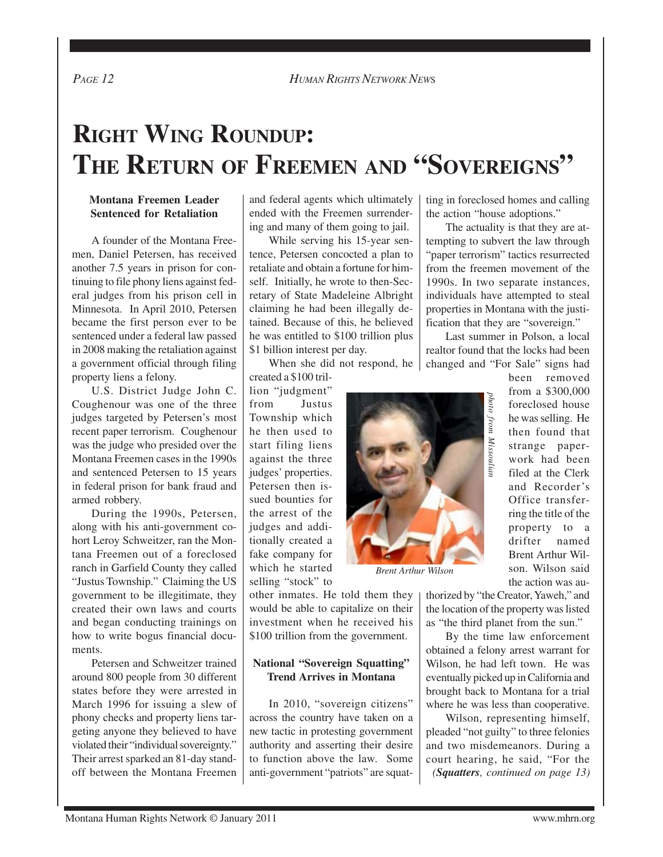*PAGE 12 HUMAN RIGHTS NETWORK NEW*<sup>S</sup>

# **RIGHT WING ROUNDUP: THE RETURN OF FREEMEN AND "SOVEREIGNS"**

#### **Montana Freemen Leader Sentenced for Retaliation**

A founder of the Montana Freemen, Daniel Petersen, has received another 7.5 years in prison for continuing to file phony liens against federal judges from his prison cell in Minnesota. In April 2010, Petersen became the first person ever to be sentenced under a federal law passed in 2008 making the retaliation against a government official through filing property liens a felony.

U.S. District Judge John C. Coughenour was one of the three judges targeted by Petersen's most recent paper terrorism. Coughenour was the judge who presided over the Montana Freemen cases in the 1990s and sentenced Petersen to 15 years in federal prison for bank fraud and armed robbery.

During the 1990s, Petersen, along with his anti-government cohort Leroy Schweitzer, ran the Montana Freemen out of a foreclosed ranch in Garfield County they called "Justus Township." Claiming the US government to be illegitimate, they created their own laws and courts and began conducting trainings on how to write bogus financial documents.

Petersen and Schweitzer trained around 800 people from 30 different states before they were arrested in March 1996 for issuing a slew of phony checks and property liens targeting anyone they believed to have violated their "individual sovereignty." Their arrest sparked an 81-day standoff between the Montana Freemen and federal agents which ultimately ended with the Freemen surrendering and many of them going to jail.

While serving his 15-year sentence, Petersen concocted a plan to retaliate and obtain a fortune for himself. Initially, he wrote to then-Secretary of State Madeleine Albright claiming he had been illegally detained. Because of this, he believed he was entitled to \$100 trillion plus \$1 billion interest per day.

When she did not respond, he

created a \$100 trillion "judgment" from Justus Township which he then used to start filing liens against the three judges' properties. Petersen then issued bounties for the arrest of the judges and additionally created a fake company for which he started selling "stock" to

other inmates. He told them they would be able to capitalize on their investment when he received his \$100 trillion from the government.

### **National "Sovereign Squatting" Trend Arrives in Montana**

In 2010, "sovereign citizens" across the country have taken on a new tactic in protesting government authority and asserting their desire to function above the law. Some anti-government "patriots" are squatting in foreclosed homes and calling the action "house adoptions."

The actuality is that they are attempting to subvert the law through "paper terrorism" tactics resurrected from the freemen movement of the 1990s. In two separate instances, individuals have attempted to steal properties in Montana with the justification that they are "sovereign."

Last summer in Polson, a local realtor found that the locks had been changed and "For Sale" signs had



*Brent Arthur Wilson*

been removed from a \$300,000 foreclosed house he was selling. He then found that strange paperwork had been filed at the Clerk and Recorder's Office transferring the title of the property to a drifter named Brent Arthur Wilson. Wilson said the action was au-From a 9500,000<br>foreclosed house<br>the was selling. He<br>then found that<br>strange paper-<br>work had been<br>filed at the Clerk<br>and Recorder's<br>Office transfer-<br>ing the title of the<br>property to a<br>drifter named<br>Brent Arthur Wil-<br>son. W

thorized by "the Creator, Yaweh," and the location of the property was listed as "the third planet from the sun."

By the time law enforcement obtained a felony arrest warrant for Wilson, he had left town. He was eventually picked up in California and brought back to Montana for a trial where he was less than cooperative.

Wilson, representing himself, pleaded "not guilty" to three felonies and two misdemeanors. During a *(Squatters, continued on page 13)*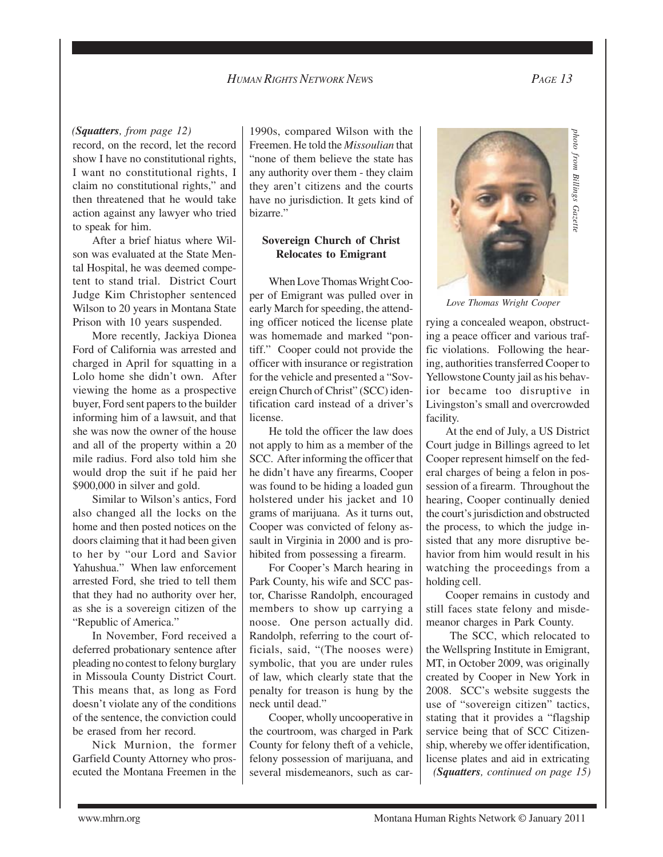#### *HUMAN RIGHTS NETWORK NEW*<sup>S</sup> *PAGE 13*

#### *(Squatters, from page 12)*

record, on the record, let the record show I have no constitutional rights, I want no constitutional rights, I claim no constitutional rights," and then threatened that he would take action against any lawyer who tried to speak for him.

After a brief hiatus where Wilson was evaluated at the State Mental Hospital, he was deemed competent to stand trial. District Court Judge Kim Christopher sentenced Wilson to 20 years in Montana State Prison with 10 years suspended.

More recently, Jackiya Dionea Ford of California was arrested and charged in April for squatting in a Lolo home she didn't own. After viewing the home as a prospective buyer, Ford sent papers to the builder informing him of a lawsuit, and that she was now the owner of the house and all of the property within a 20 mile radius. Ford also told him she would drop the suit if he paid her \$900,000 in silver and gold.

Similar to Wilson's antics, Ford also changed all the locks on the home and then posted notices on the doors claiming that it had been given to her by "our Lord and Savior Yahushua." When law enforcement arrested Ford, she tried to tell them that they had no authority over her, as she is a sovereign citizen of the "Republic of America."

In November, Ford received a deferred probationary sentence after pleading no contest to felony burglary in Missoula County District Court. This means that, as long as Ford doesn't violate any of the conditions of the sentence, the conviction could be erased from her record.

Nick Murnion, the former Garfield County Attorney who prosecuted the Montana Freemen in the 1990s, compared Wilson with the Freemen. He told the *Missoulian* that "none of them believe the state has any authority over them - they claim they aren't citizens and the courts have no jurisdiction. It gets kind of bizarre."

#### **Sovereign Church of Christ Relocates to Emigrant**

When Love Thomas Wright Cooper of Emigrant was pulled over in early March for speeding, the attending officer noticed the license plate was homemade and marked "pontiff." Cooper could not provide the officer with insurance or registration for the vehicle and presented a "Sovereign Church of Christ" (SCC) identification card instead of a driver's license.

He told the officer the law does not apply to him as a member of the SCC. After informing the officer that he didn't have any firearms, Cooper was found to be hiding a loaded gun holstered under his jacket and 10 grams of marijuana. As it turns out, Cooper was convicted of felony assault in Virginia in 2000 and is prohibited from possessing a firearm.

For Cooper's March hearing in Park County, his wife and SCC pastor, Charisse Randolph, encouraged members to show up carrying a noose. One person actually did. Randolph, referring to the court officials, said, "(The nooses were) symbolic, that you are under rules of law, which clearly state that the penalty for treason is hung by the neck until dead."

Cooper, wholly uncooperative in the courtroom, was charged in Park County for felony theft of a vehicle, felony possession of marijuana, and several misdemeanors, such as car-



*Love Thomas Wright Cooper*

rying a concealed weapon, obstructing a peace officer and various traffic violations. Following the hearing, authorities transferred Cooper to Yellowstone County jail as his behavior became too disruptive in Livingston's small and overcrowded facility.

At the end of July, a US District Court judge in Billings agreed to let Cooper represent himself on the federal charges of being a felon in possession of a firearm. Throughout the hearing, Cooper continually denied the court's jurisdiction and obstructed the process, to which the judge insisted that any more disruptive behavior from him would result in his watching the proceedings from a holding cell. *Love Thomas Wright Cooper*<br>rying a concealed weapon, obstructing a peace officer violations. Following the hearing, authorities transferred Cooper to Yellowstone County jail as his behavior became too disruptive in Living

Cooper remains in custody and still faces state felony and misdemeanor charges in Park County.

 The SCC, which relocated to the Wellspring Institute in Emigrant, MT, in October 2009, was originally created by Cooper in New York in 2008. SCC's website suggests the use of "sovereign citizen" tactics, stating that it provides a "flagship service being that of SCC Citizenship, whereby we offer identification, *(Squatters, continued on page 15)*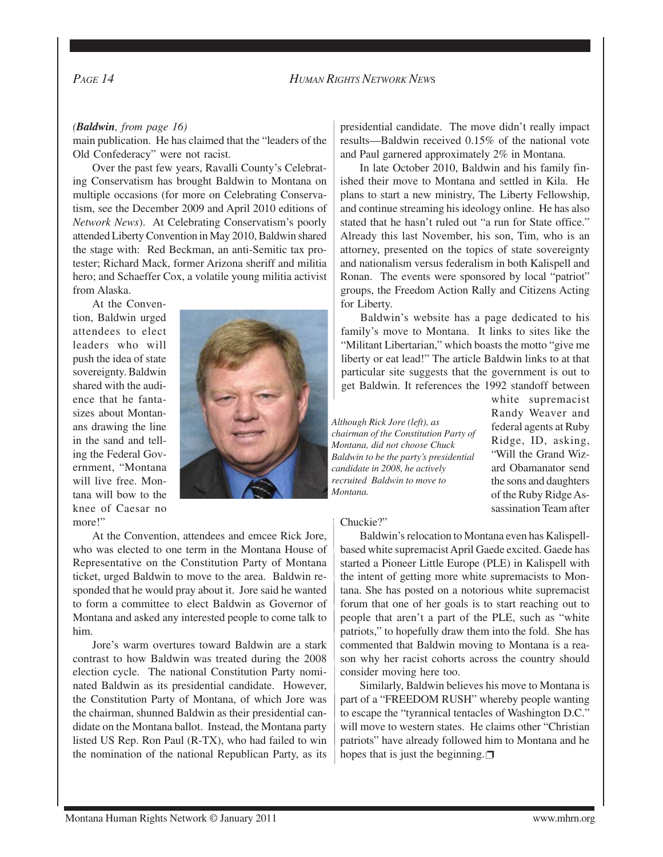#### *(Baldwin, from page 16)*

main publication. He has claimed that the "leaders of the Old Confederacy" were not racist.

Over the past few years, Ravalli County's Celebrating Conservatism has brought Baldwin to Montana on multiple occasions (for more on Celebrating Conservatism, see the December 2009 and April 2010 editions of *Network News*). At Celebrating Conservatism's poorly attended Liberty Convention in May 2010, Baldwin shared the stage with: Red Beckman, an anti-Semitic tax protester; Richard Mack, former Arizona sheriff and militia hero; and Schaeffer Cox, a volatile young militia activist from Alaska.

At the Convention, Baldwin urged attendees to elect leaders who will push the idea of state sovereignty. Baldwin shared with the audience that he fantasizes about Montanans drawing the line in the sand and telling the Federal Government, "Montana will live free. Montana will bow to the knee of Caesar no more!"



At the Convention, attendees and emcee Rick Jore, who was elected to one term in the Montana House of Representative on the Constitution Party of Montana ticket, urged Baldwin to move to the area. Baldwin responded that he would pray about it. Jore said he wanted to form a committee to elect Baldwin as Governor of Montana and asked any interested people to come talk to him.

Jore's warm overtures toward Baldwin are a stark contrast to how Baldwin was treated during the 2008 election cycle. The national Constitution Party nominated Baldwin as its presidential candidate. However, the Constitution Party of Montana, of which Jore was the chairman, shunned Baldwin as their presidential candidate on the Montana ballot. Instead, the Montana party listed US Rep. Ron Paul (R-TX), who had failed to win the nomination of the national Republican Party, as its presidential candidate. The move didn't really impact results—Baldwin received 0.15% of the national vote and Paul garnered approximately 2% in Montana.

In late October 2010, Baldwin and his family finished their move to Montana and settled in Kila. He plans to start a new ministry, The Liberty Fellowship, and continue streaming his ideology online. He has also stated that he hasn't ruled out "a run for State office." Already this last November, his son, Tim, who is an attorney, presented on the topics of state sovereignty and nationalism versus federalism in both Kalispell and Ronan. The events were sponsored by local "patriot" groups, the Freedom Action Rally and Citizens Acting for Liberty.

Baldwin's website has a page dedicated to his family's move to Montana. It links to sites like the "Militant Libertarian," which boasts the motto "give me liberty or eat lead!" The article Baldwin links to at that particular site suggests that the government is out to get Baldwin. It references the 1992 standoff between

*Although Rick Jore (left), as chairman of the Constitution Party of Montana, did not choose Chuck Baldwin to be the party's presidential candidate in 2008, he actively recruited Baldwin to move to Montana.*

white supremacist Randy Weaver and federal agents at Ruby Ridge, ID, asking, "Will the Grand Wizard Obamanator send the sons and daughters of the Ruby Ridge Assassination Team after

#### Chuckie?"

Baldwin's relocation to Montana even has Kalispellbased white supremacist April Gaede excited. Gaede has started a Pioneer Little Europe (PLE) in Kalispell with the intent of getting more white supremacists to Montana. She has posted on a notorious white supremacist forum that one of her goals is to start reaching out to people that aren't a part of the PLE, such as "white patriots," to hopefully draw them into the fold. She has commented that Baldwin moving to Montana is a reason why her racist cohorts across the country should consider moving here too.

Similarly, Baldwin believes his move to Montana is part of a "FREEDOM RUSH" whereby people wanting to escape the "tyrannical tentacles of Washington D.C." will move to western states. He claims other "Christian patriots" have already followed him to Montana and he hopes that is just the beginning.  $\Box$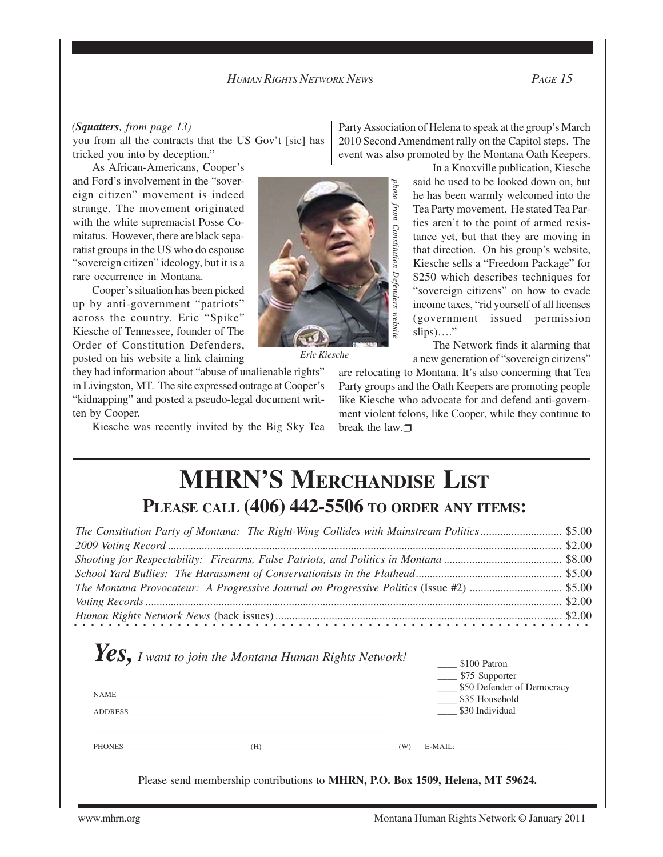#### *(Squatters, from page 13)*

you from all the contracts that the US Gov't [sic] has tricked you into by deception."

As African-Americans, Cooper's and Ford's involvement in the "sovereign citizen" movement is indeed strange. The movement originated with the white supremacist Posse Comitatus. However, there are black separatist groups in the US who do espouse "sovereign citizen" ideology, but it is a rare occurrence in Montana.

Cooper's situation has been picked up by anti-government "patriots" across the country. Eric "Spike" Kiesche of Tennessee, founder of The Order of Constitution Defenders, posted on his website a link claiming

they had information about "abuse of unalienable rights" in Livingston, MT. The site expressed outrage at Cooper's "kidnapping" and posted a pseudo-legal document written by Cooper.

Kiesche was recently invited by the Big Sky Tea



*Eric Kiesche*

Party Association of Helena to speak at the group's March 2010 Second Amendment rally on the Capitol steps. The event was also promoted by the Montana Oath Keepers.

> In a Knoxville publication, Kiesche said he used to be looked down on, but he has been warmly welcomed into the Tea Party movement. He stated Tea Parties aren't to the point of armed resistance yet, but that they are moving in that direction. On his group's website, Kiesche sells a "Freedom Package" for \$250 which describes techniques for "sovereign citizens" on how to evade income taxes, "rid yourself of all licenses (government issued permission  $slips)$ …."

> The Network finds it alarming that a new generation of "sovereign citizens"

are relocating to Montana. It's also concerning that Tea Party groups and the Oath Keepers are promoting people like Kiesche who advocate for and defend anti-government violent felons, like Cooper, while they continue to break the law. $\Box$ 

# **MHRN'S MERCHANDISE LIST PLEASE CALL (406) 442-5506 TO ORDER ANY ITEMS:**

| Human Rights Network News (back issues) $\ldots$ $\ldots$ $\ldots$ $\ldots$ $\ldots$ $\ldots$ $\ldots$ $\ldots$ $\ldots$ $\ldots$ $\ldots$ $\ldots$ $\ldots$ $\ldots$ $\ldots$ $\ldots$ $\ldots$ $\ldots$ $\ldots$ $\ldots$ $\ldots$ $\ldots$ $\ldots$ $\ldots$ $\ldots$ $\ldots$ $\ldots$ $\ldots$ $\ldots$ $\ldots$ |  |
|-----------------------------------------------------------------------------------------------------------------------------------------------------------------------------------------------------------------------------------------------------------------------------------------------------------------------|--|

| $\gamma$ es, I want to join the Montana Human Rights Network!<br>$\begin{minipage}{.4\linewidth} \textbf{NAME} \end{minipage}$<br>ADDRESS | $\frac{\$100}{\$100}$ Patron<br>____ \$75 Supporter<br>\$50 Defender of Democracy<br>\$35 Household<br>\$30 Individual |
|-------------------------------------------------------------------------------------------------------------------------------------------|------------------------------------------------------------------------------------------------------------------------|
| PHONES (H) (W) E-MAIL:                                                                                                                    |                                                                                                                        |
| Please send membership contributions to MHRN, P.O. Box 1509, Helena, MT 59624.                                                            |                                                                                                                        |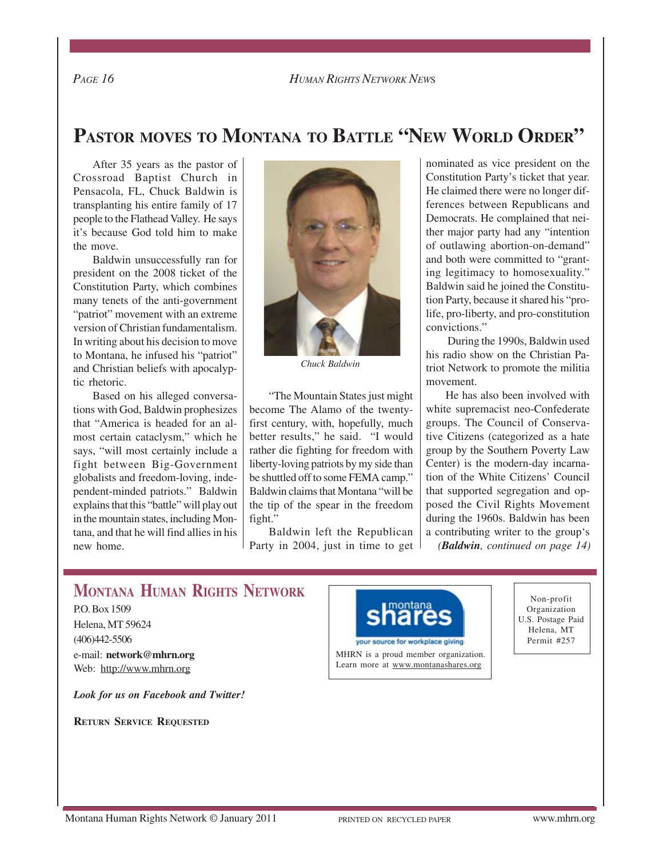*PAGE 16 HUMAN RIGHTS NETWORK NEW*<sup>S</sup>

## **PASTOR MOVES TO MONTANA TO BATTLE "NEW WORLD ORDER"**

After 35 years as the pastor of Crossroad Baptist Church in Pensacola, FL, Chuck Baldwin is transplanting his entire family of 17 people to the Flathead Valley. He says it's because God told him to make the move.

Baldwin unsuccessfully ran for president on the 2008 ticket of the Constitution Party, which combines many tenets of the anti-government "patriot" movement with an extreme version of Christian fundamentalism. In writing about his decision to move to Montana, he infused his "patriot" and Christian beliefs with apocalyptic rhetoric.

Based on his alleged conversations with God, Baldwin prophesizes that "America is headed for an almost certain cataclysm," which he says, "will most certainly include a fight between Big-Government globalists and freedom-loving, independent-minded patriots." Baldwin explains that this "battle" will play out in the mountain states, including Montana, and that he will find allies in his new home.



*Chuck Baldwin*

"The Mountain States just might become The Alamo of the twentyfirst century, with, hopefully, much better results," he said. "I would rather die fighting for freedom with liberty-loving patriots by my side than be shuttled off to some FEMA camp." Baldwin claims that Montana "will be the tip of the spear in the freedom fight."

Baldwin left the Republican Party in 2004, just in time to get nominated as vice president on the Constitution Party's ticket that year. He claimed there were no longer differences between Republicans and Democrats. He complained that neither major party had any "intention of outlawing abortion-on-demand" and both were committed to "granting legitimacy to homosexuality." Baldwin said he joined the Constitution Party, because it shared his "prolife, pro-liberty, and pro-constitution convictions."

 During the 1990s, Baldwin used his radio show on the Christian Patriot Network to promote the militia movement.

He has also been involved with white supremacist neo-Confederate groups. The Council of Conservative Citizens (categorized as a hate group by the Southern Poverty Law Center) is the modern-day incarnation of the White Citizens' Council that supported segregation and opposed the Civil Rights Movement during the 1960s. Baldwin has been a contributing writer to the group's *(Baldwin, continued on page 14)*

## **MONTANA HUMAN RIGHTS NETWORK**

P.O. Box 1509 Helena, MT 59624 (406)442-5506 e-mail: **network@mhrn.org** Web: http://www.mhrn.org

*Look for us on Facebook and Twitter!*

**RETURN SERVICE REQUESTED**



MHRN is a proud member organization. Learn more at www.montanashares.org

Non-profit Organization U.S. Postage Paid Helena, MT Permit #257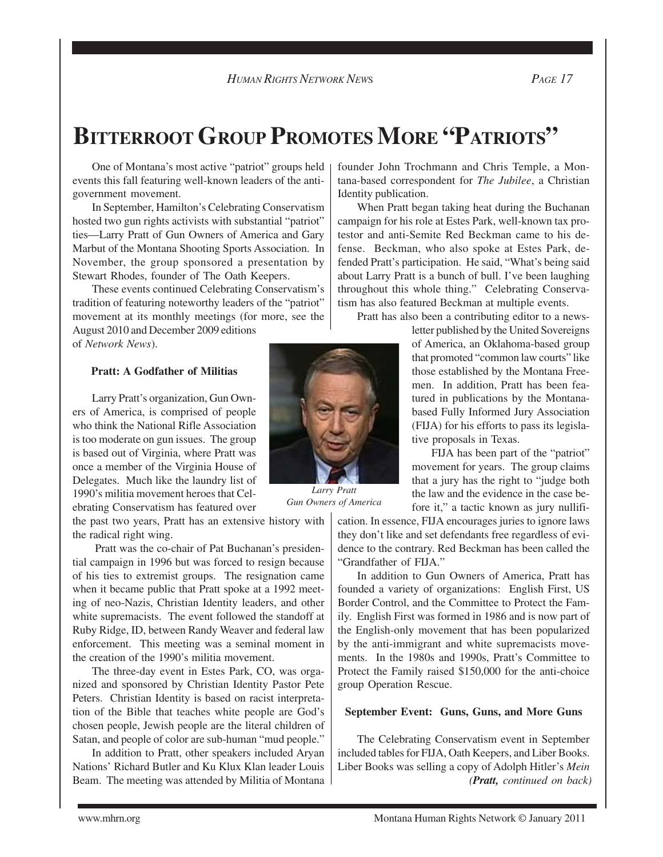*HUMAN RIGHTS NETWORK NEW*<sup>S</sup> *PAGE 17*

**BITTERROOT GROUP PROMOTES MORE "PATRIOTS"**

One of Montana's most active "patriot" groups held events this fall featuring well-known leaders of the antigovernment movement.

In September, Hamilton's Celebrating Conservatism hosted two gun rights activists with substantial "patriot" ties—Larry Pratt of Gun Owners of America and Gary Marbut of the Montana Shooting Sports Association. In November, the group sponsored a presentation by Stewart Rhodes, founder of The Oath Keepers.

These events continued Celebrating Conservatism's tradition of featuring noteworthy leaders of the "patriot" movement at its monthly meetings (for more, see the August 2010 and December 2009 editions

of *Network News*).

#### **Pratt: A Godfather of Militias**

Larry Pratt's organization, Gun Owners of America, is comprised of people who think the National Rifle Association is too moderate on gun issues. The group is based out of Virginia, where Pratt was once a member of the Virginia House of Delegates. Much like the laundry list of 1990's militia movement heroes that Celebrating Conservatism has featured over

the past two years, Pratt has an extensive history with the radical right wing.

 Pratt was the co-chair of Pat Buchanan's presidential campaign in 1996 but was forced to resign because of his ties to extremist groups. The resignation came when it became public that Pratt spoke at a 1992 meeting of neo-Nazis, Christian Identity leaders, and other white supremacists. The event followed the standoff at Ruby Ridge, ID, between Randy Weaver and federal law enforcement. This meeting was a seminal moment in the creation of the 1990's militia movement.

The three-day event in Estes Park, CO, was organized and sponsored by Christian Identity Pastor Pete Peters. Christian Identity is based on racist interpretation of the Bible that teaches white people are God's chosen people, Jewish people are the literal children of Satan, and people of color are sub-human "mud people."

In addition to Pratt, other speakers included Aryan Nations' Richard Butler and Ku Klux Klan leader Louis Beam. The meeting was attended by Militia of Montana founder John Trochmann and Chris Temple, a Montana-based correspondent for *The Jubilee*, a Christian Identity publication.

When Pratt began taking heat during the Buchanan campaign for his role at Estes Park, well-known tax protestor and anti-Semite Red Beckman came to his defense. Beckman, who also spoke at Estes Park, defended Pratt's participation. He said, "What's being said about Larry Pratt is a bunch of bull. I've been laughing throughout this whole thing." Celebrating Conservatism has also featured Beckman at multiple events.

Pratt has also been a contributing editor to a news-

letter published by the United Sovereigns of America, an Oklahoma-based group that promoted "common law courts" like those established by the Montana Freemen. In addition, Pratt has been featured in publications by the Montanabased Fully Informed Jury Association (FIJA) for his efforts to pass its legislative proposals in Texas.

FIJA has been part of the "patriot" movement for years. The group claims that a jury has the right to "judge both the law and the evidence in the case before it," a tactic known as jury nullifi-

cation. In essence, FIJA encourages juries to ignore laws they don't like and set defendants free regardless of evidence to the contrary. Red Beckman has been called the "Grandfather of FIJA."

In addition to Gun Owners of America, Pratt has founded a variety of organizations: English First, US Border Control, and the Committee to Protect the Family. English First was formed in 1986 and is now part of the English-only movement that has been popularized by the anti-immigrant and white supremacists movements. In the 1980s and 1990s, Pratt's Committee to Protect the Family raised \$150,000 for the anti-choice group Operation Rescue.

#### **September Event: Guns, Guns, and More Guns**

The Celebrating Conservatism event in September included tables for FIJA, Oath Keepers, and Liber Books. Liber Books was selling a copy of Adolph Hitler's *Mein (Pratt, continued on back)*

*Larry Pratt Gun Owners of America*